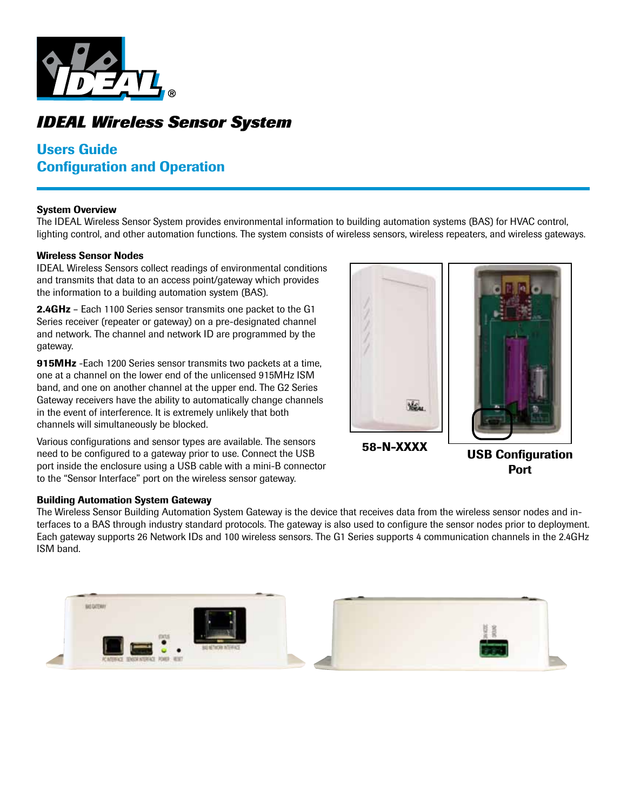

# *IDEAL Wireless Sensor System*

# Users Guide Configuration and Operation

#### System Overview

The IDEAL Wireless Sensor System provides environmental information to building automation systems (BAS) for HVAC control, lighting control, and other automation functions. The system consists of wireless sensors, wireless repeaters, and wireless gateways.

#### Wireless Sensor Nodes

IDEAL Wireless Sensors collect readings of environmental conditions and transmits that data to an access point/gateway which provides the information to a building automation system (BAS).

2.4GHz - Each 1100 Series sensor transmits one packet to the G1 Series receiver (repeater or gateway) on a pre-designated channel and network. The channel and network ID are programmed by the gateway.

915MHz - Each 1200 Series sensor transmits two packets at a time, one at a channel on the lower end of the unlicensed 915MHz ISM band, and one on another channel at the upper end. The G2 Series Gateway receivers have the ability to automatically change channels in the event of interference. It is extremely unlikely that both channels will simultaneously be blocked.

Various configurations and sensor types are available. The sensors need to be configured to a gateway prior to use. Connect the USB port inside the enclosure using a USB cable with a mini-B connector to the "Sensor Interface" port on the wireless sensor gateway.



58-N-XXXX USB Configuration Port

#### Building Automation System Gateway

The Wireless Sensor Building Automation System Gateway is the device that receives data from the wireless sensor nodes and interfaces to a BAS through industry standard protocols. The gateway is also used to configure the sensor nodes prior to deployment. Each gateway supports 26 Network IDs and 100 wireless sensors. The G1 Series supports 4 communication channels in the 2.4GHz ISM band.

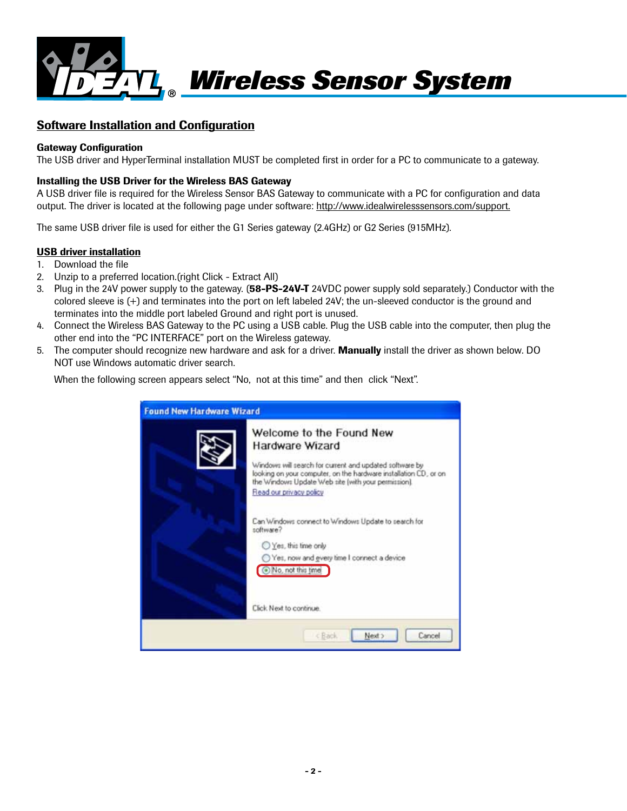

# Software Installation and Configuration

#### Gateway Configuration

The USB driver and HyperTerminal installation MUST be completed first in order for a PC to communicate to a gateway.

#### Installing the USB Driver for the Wireless BAS Gateway

A USB driver file is required for the Wireless Sensor BAS Gateway to communicate with a PC for configuration and data output. The driver is located at the following page under software: http://www.idealwirelesssensors.com/support.

The same USB driver file is used for either the G1 Series gateway (2.4GHz) or G2 Series (915MHz).

#### USB driver installation

- 1. Download the file
- 2. Unzip to a preferred location.(right Click Extract All)
- 3. Plug in the 24V power supply to the gateway. (58-PS-24V-T 24VDC power supply sold separately.) Conductor with the colored sleeve is (+) and terminates into the port on left labeled 24V; the un-sleeved conductor is the ground and terminates into the middle port labeled Ground and right port is unused.
- 4. Connect the Wireless BAS Gateway to the PC using a USB cable. Plug the USB cable into the computer, then plug the other end into the "PC INTERFACE" port on the Wireless gateway.
- 5. The computer should recognize new hardware and ask for a driver. Manually install the driver as shown below. DO NOT use Windows automatic driver search.

When the following screen appears select "No, not at this time" and then click "Next".

| <b>Found New Hardware Wizard</b> |                                                                                                                                                                                                                                                              |  |
|----------------------------------|--------------------------------------------------------------------------------------------------------------------------------------------------------------------------------------------------------------------------------------------------------------|--|
|                                  | Welcome to the Found New<br>Hardware Wizard<br>Windows will search for current and updated software by<br>looking on your computer, on the hardware installation CD, or on<br>the Windows Update Web site (with your permission).<br>Read our privacy policy |  |
|                                  | Can Windows connect to Windows Update to search for<br>software?<br>Yes, this time only<br>Yes, now and every time I connect a device<br>No, not this time<br>Click Next to continue.                                                                        |  |
|                                  | Cancel<br>Next ><br><back< td=""></back<>                                                                                                                                                                                                                    |  |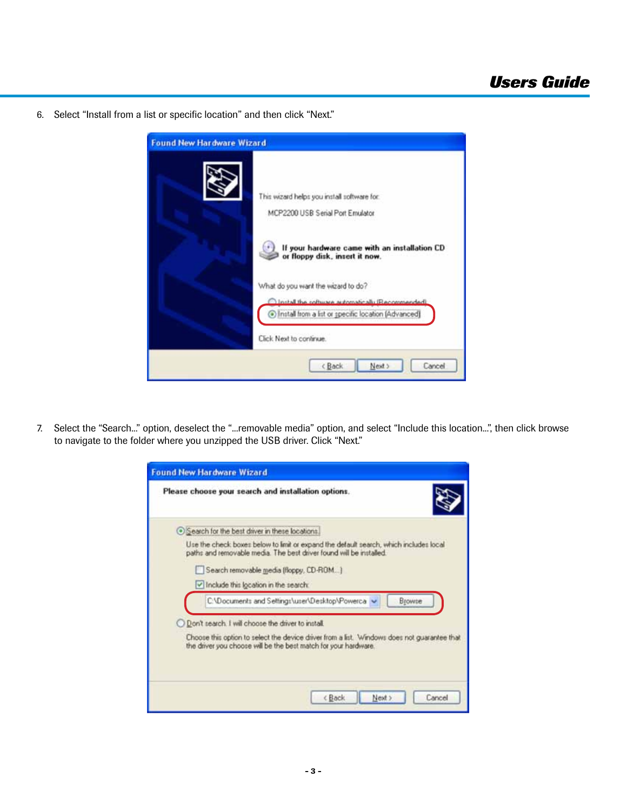6. Select "Install from a list or specific location" and then click "Next."



7. Select the "Search..." option, deselect the "...removable media" option, and select "Include this location...", then click browse to navigate to the folder where you unzipped the USB driver. Click "Next."

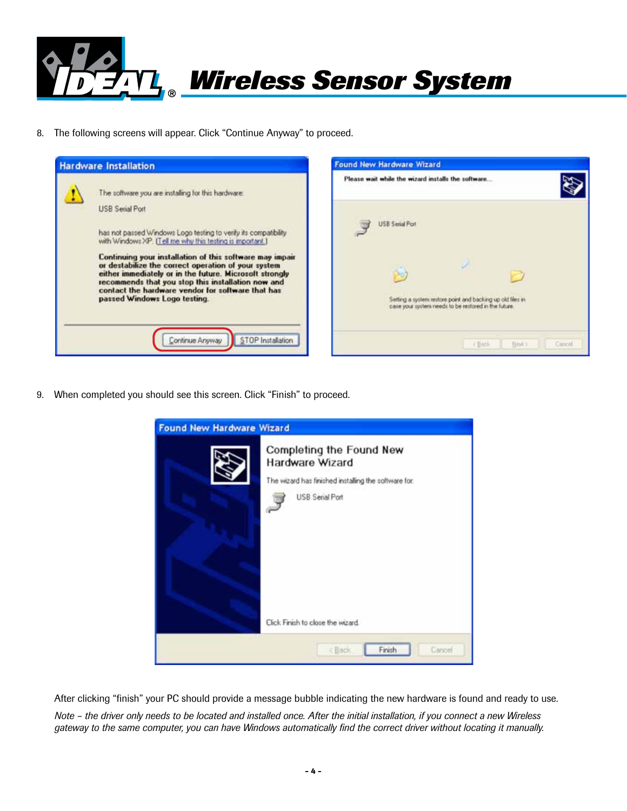

8. The following screens will appear. Click "Continue Anyway" to proceed.





9. When completed you should see this screen. Click "Finish" to proceed.



After clicking "finish" your PC should provide a message bubble indicating the new hardware is found and ready to use.

*Note – the driver only needs to be located and installed once. After the initial installation, if you connect a new Wireless gateway to the same computer, you can have Windows automatically find the correct driver without locating it manually.*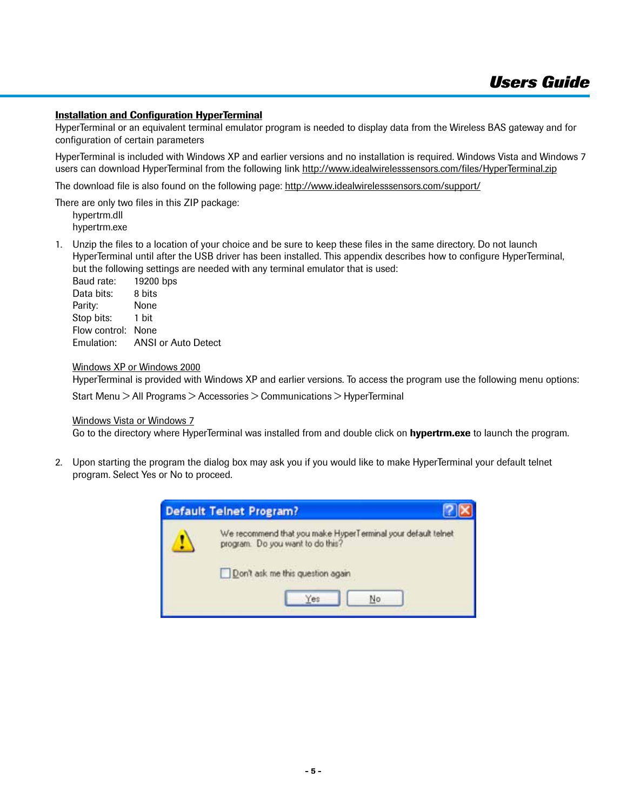#### **Installation and Configuration HyperTerminal**

HyperTerminal or an equivalent terminal emulator program is needed to display data from the Wireless BAS gateway and for configuration of certain parameters

HyperTerminal is included with Windows XP and earlier versions and no installation is required. Windows Vista and Windows 7 users can download HyperTerminal from the following link http://www.idealwirelesssensors.com/files/HyperTerminal.zip

The download file is also found on the following page: http://www.idealwirelesssensors.com/support/

There are only two files in this ZIP package:

hypertrm.dll hypertrm.exe

1. Unzip the files to a location of your choice and be sure to keep these files in the same directory. Do not launch HyperTerminal until after the USB driver has been installed. This appendix describes how to configure HyperTerminal, but the following settings are needed with any terminal emulator that is used:

Baud rate: 19200 bps Data bits: 8 bits Parity: None Stop bits: 1 bit Flow control: None Emulation: ANSI or Auto Detect

#### Windows XP or Windows 2000

HyperTerminal is provided with Windows XP and earlier versions. To access the program use the following menu options:

Start Menu > All Programs > Accessories > Communications > HyperTerminal

#### Windows Vista or Windows 7

Go to the directory where HyperTerminal was installed from and double click on hypertrm.exe to launch the program.

2. Upon starting the program the dialog box may ask you if you would like to make HyperTerminal your default telnet program. Select Yes or No to proceed.

| <b>Default Telnet Program?</b>                                                                                                                    |  |
|---------------------------------------------------------------------------------------------------------------------------------------------------|--|
| We recommend that you make HyperTerminal your default telnet<br>program. Do you want to do this?<br>Don't ask me this question again<br>No<br>Yes |  |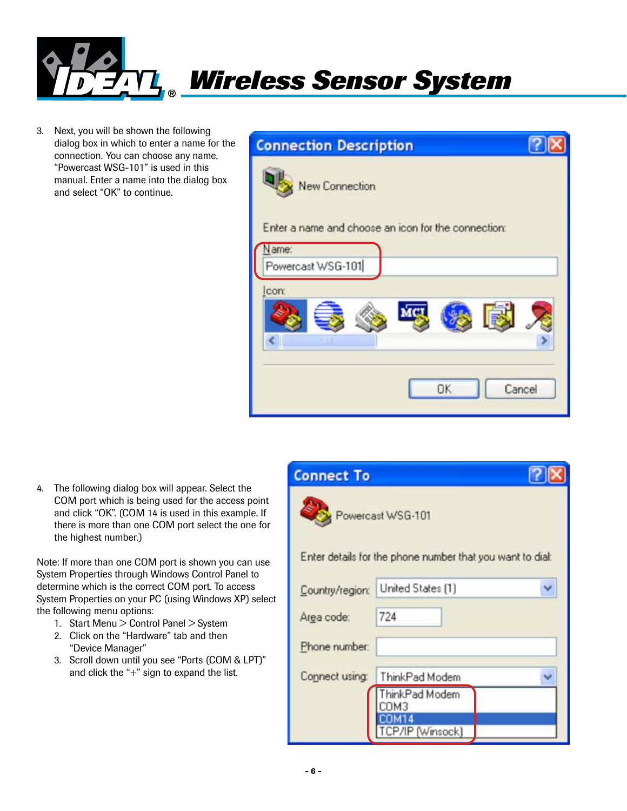

3. Next, you will be shown the following dialog box in which to enter a name for the connection. You can choose any name, "Powercast WSG-101" is used in this manual. Enter a name into the dialog box and select "OK" to continue.

| <b>Connection Description</b>                                         |        |
|-----------------------------------------------------------------------|--------|
| New Connection<br>Enter a name and choose an icon for the connection: |        |
| Name:                                                                 |        |
| Powercast WSG-101                                                     |        |
| Icon:                                                                 |        |
| MC<br><b>IEX</b><br>age                                               |        |
|                                                                       |        |
|                                                                       |        |
| OK                                                                    | Cancel |
|                                                                       |        |

4. The following dialog box will appear. Select the COM port which is being used for the access point and click "OK". (COM 14 is used in this example. If there is more than one COM port select the one for the highest number.)

Note: If more than one COM port is shown you can use System Properties through Windows Control Panel to determine which is the correct COM port. To access System Properties on your PC (using Windows XP) select the following menu options:

- 1. Start Menu > Control Panel > System
- 2. Click on the "Hardware" tab and then "Device Manager"
- 3. Scroll down until you see "Ports (COM & LPT)" and click the "+" sign to expand the list.

| <b>Connect To</b> |                                                           |  |
|-------------------|-----------------------------------------------------------|--|
|                   | Powercast WSG-101                                         |  |
|                   | Enter details for the phone number that you want to dial: |  |
| Country/region:   | United States [1]                                         |  |
| Area code:        | 724                                                       |  |
| Phone number:     |                                                           |  |
| Connect using:    | ThinkPad Modem<br>hinkPad Modem<br>TM3<br>7/IP (Winsock)  |  |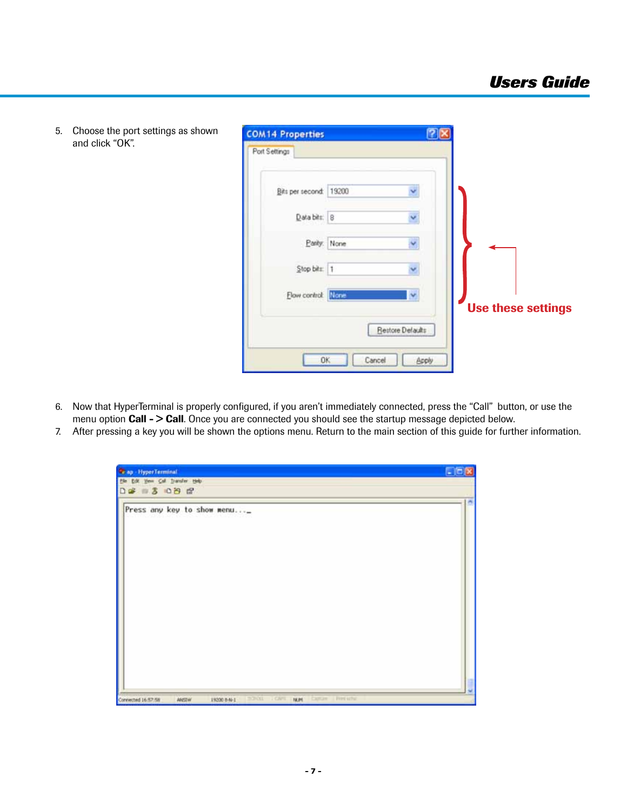

5. Choose the port settings as shown and click "OK".

- 6. Now that HyperTerminal is properly configured, if you aren't immediately connected, press the "Call" button, or use the menu option **Call - > Call**. Once you are connected you should see the startup message depicted below.
- 7. After pressing a key you will be shown the options menu. Return to the main section of this guide for further information.

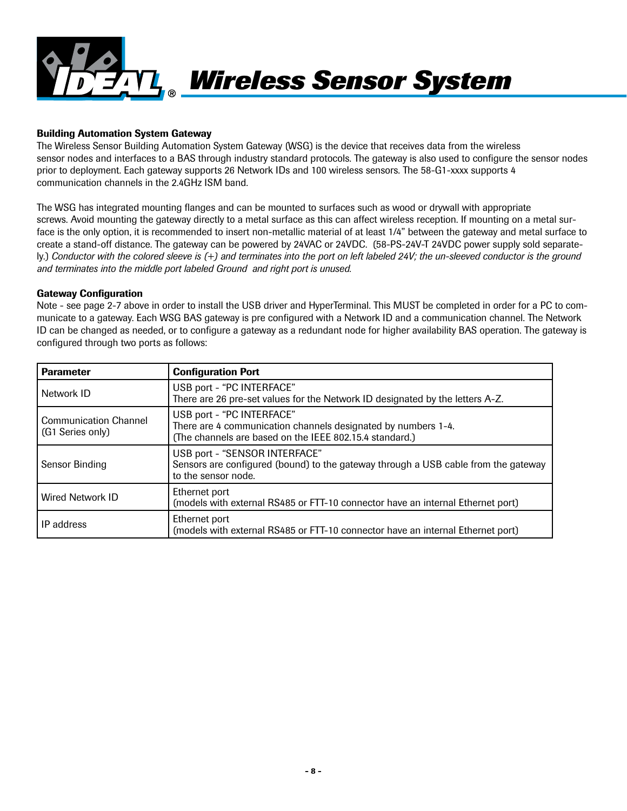

#### Building Automation System Gateway

The Wireless Sensor Building Automation System Gateway (WSG) is the device that receives data from the wireless sensor nodes and interfaces to a BAS through industry standard protocols. The gateway is also used to configure the sensor nodes prior to deployment. Each gateway supports 26 Network IDs and 100 wireless sensors. The 58-G1-xxxx supports 4 communication channels in the 2.4GHz ISM band.

The WSG has integrated mounting flanges and can be mounted to surfaces such as wood or drywall with appropriate screws. Avoid mounting the gateway directly to a metal surface as this can affect wireless reception. If mounting on a metal surface is the only option, it is recommended to insert non-metallic material of at least 1/4" between the gateway and metal surface to create a stand-off distance. The gateway can be powered by 24VAC or 24VDC. (58-PS-24V-T 24VDC power supply sold separately.) *Conductor with the colored sleeve is (+) and terminates into the port on left labeled 24V; the un-sleeved conductor is the ground and terminates into the middle port labeled Ground and right port is unused.* 

#### Gateway Configuration

Note - see page 2-7 above in order to install the USB driver and HyperTerminal. This MUST be completed in order for a PC to communicate to a gateway. Each WSG BAS gateway is pre configured with a Network ID and a communication channel. The Network ID can be changed as needed, or to configure a gateway as a redundant node for higher availability BAS operation. The gateway is configured through two ports as follows:

| <b>Parameter</b>                                 | <b>Configuration Port</b>                                                                                                                             |
|--------------------------------------------------|-------------------------------------------------------------------------------------------------------------------------------------------------------|
| Network ID                                       | USB port - "PC INTERFACE"<br>There are 26 pre-set values for the Network ID designated by the letters A-Z.                                            |
| <b>Communication Channel</b><br>(G1 Series only) | USB port - "PC INTERFACE"<br>There are 4 communication channels designated by numbers 1-4.<br>(The channels are based on the IEEE 802.15.4 standard.) |
| Sensor Binding                                   | USB port - "SENSOR INTERFACE"<br>Sensors are configured (bound) to the gateway through a USB cable from the gateway<br>to the sensor node.            |
| <b>Wired Network ID</b>                          | Ethernet port<br>(models with external RS485 or FTT-10 connector have an internal Ethernet port)                                                      |
| IP address                                       | Ethernet port<br>(models with external RS485 or FTT-10 connector have an internal Ethernet port)                                                      |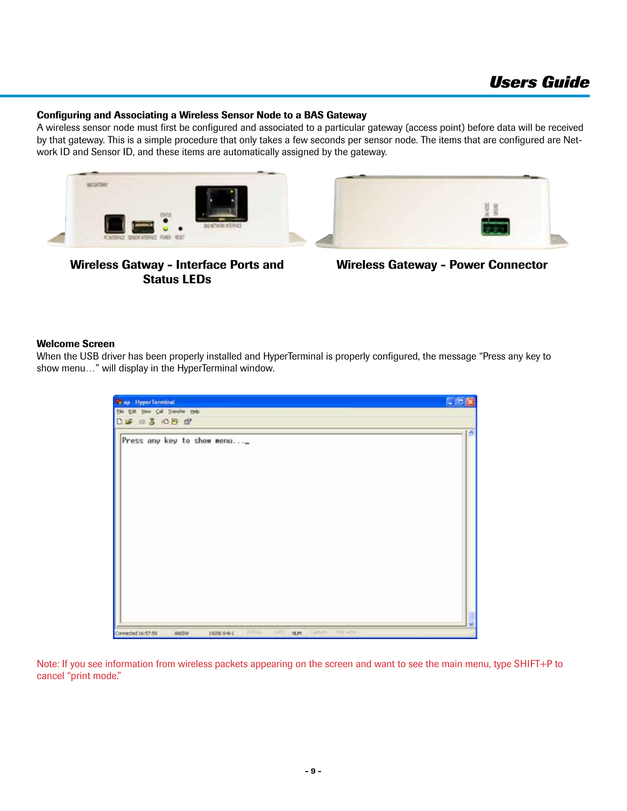#### Configuring and Associating a Wireless Sensor Node to a BAS Gateway

A wireless sensor node must first be configured and associated to a particular gateway (access point) before data will be received by that gateway. This is a simple procedure that only takes a few seconds per sensor node. The items that are configured are Network ID and Sensor ID, and these items are automatically assigned by the gateway.





Wireless Gatway - Interface Ports and Status LEDs

Wireless Gateway - Power Connector

#### Welcome Screen

When the USB driver has been properly installed and HyperTerminal is properly configured, the message "Press any key to show menu…" will display in the HyperTerminal window.

| <b>C</b> ap HyperTerminal                                                                                | <b>E 回区</b> |
|----------------------------------------------------------------------------------------------------------|-------------|
| the tisk year Call Dansfer type                                                                          |             |
| 02 3 08 8                                                                                                | ×           |
| Press any key to show menu_                                                                              |             |
| CALIFEE   PITE ACTO<br><b>ROSAL</b><br>OPS<br>Connected 16:57:58<br>14,91<br>19200 0-N-1<br><b>ANSTW</b> |             |

Note: If you see information from wireless packets appearing on the screen and want to see the main menu, type SHIFT+P to cancel "print mode."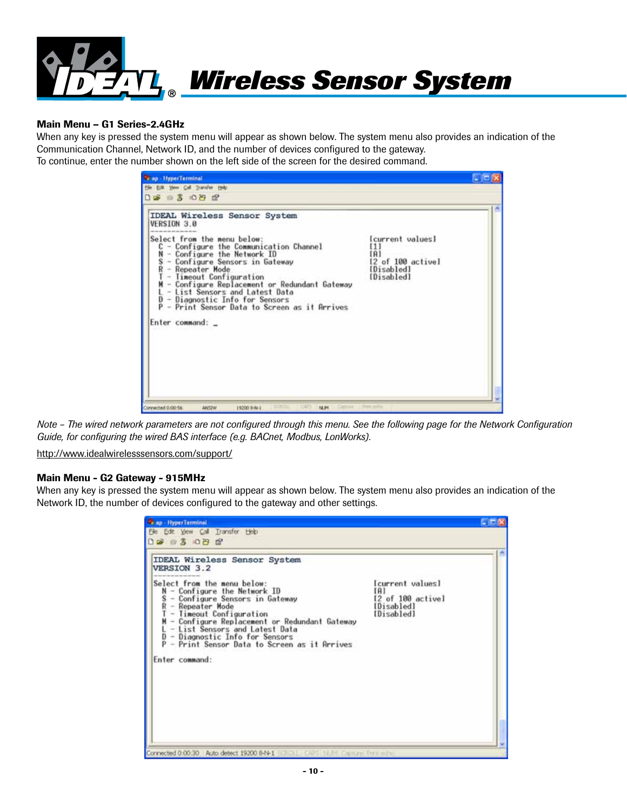

#### Main Menu – G1 Series-2.4GHz

When any key is pressed the system menu will appear as shown below. The system menu also provides an indication of the Communication Channel, Network ID, and the number of devices configured to the gateway. To continue, enter the number shown on the left side of the screen for the desired command.

| File Edit View Call Transfer Help<br>$D = 3 - 2$                                                                                                                                                                                                                                                                                                                                  |                                                                         |  |
|-----------------------------------------------------------------------------------------------------------------------------------------------------------------------------------------------------------------------------------------------------------------------------------------------------------------------------------------------------------------------------------|-------------------------------------------------------------------------|--|
| <b>IDEAL Wireless Sensor System</b><br>VERSION 3.0                                                                                                                                                                                                                                                                                                                                |                                                                         |  |
| Select from the menu below:<br>C - Configure the Communication Channel<br>- Configure the Network ID<br>N<br>- Configure Sensors in Gateway<br>- Repeater Mode<br>- Timeout Configuration<br>- Configure Replacement or Redundant Gateway<br>- List Sensors and Latest Data<br>D - Diagnostic Info for Sensors<br>P - Print Sensor Data to Screen as it Arrives<br>Enter command: | [current values]<br>ពោ<br>12 of 100 activel<br>[Disabled]<br>[Disabled] |  |

*Note – The wired network parameters are not configured through this menu. See the following page for the Network Configuration Guide, for configuring the wired BAS interface (e.g. BACnet, Modbus, LonWorks).*

http://www.idealwirelesssensors.com/support/

#### Main Menu - G2 Gateway - 915MHz

When any key is pressed the system menu will appear as shown below. The system menu also provides an indication of the Network ID, the number of devices configured to the gateway and other settings.

| <b><i>Cap - HyperTerminal</i></b>                                                                                                                                                                                                                                                                                                                                                                |                                                                           | <b>AND D</b> |
|--------------------------------------------------------------------------------------------------------------------------------------------------------------------------------------------------------------------------------------------------------------------------------------------------------------------------------------------------------------------------------------------------|---------------------------------------------------------------------------|--------------|
| Edit View Call Transfer Heip<br>0.68986                                                                                                                                                                                                                                                                                                                                                          |                                                                           |              |
| IDEAL Wireless Sensor System<br>VERSION 3.2<br>Select from the menu below:<br>$N -$ Configure the Network $ID$<br>- Configure Sensors in Gateway<br>s<br>R<br>- Repeater Mode<br>- Timeout Configuration<br>- Configure Replacement or Redundant Gateway<br>L - List Sensors and Latest Data<br>D - Diagnostic Info for Sensors<br>- Print Sensor Data to Screen as it Arrives<br>Enter command: | [current values]<br>EA 1<br>[2 of 100 active]<br>[Disabled]<br>[Disabled] |              |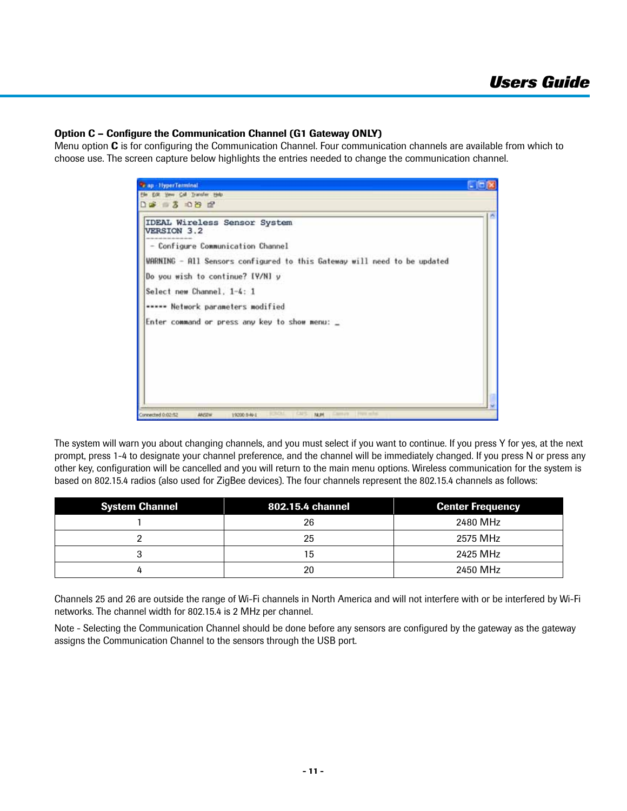#### Option C – Configure the Communication Channel (G1 Gateway ONLY)

Menu option  $C$  is for configuring the Communication Channel. Four communication channels are available from which to choose use. The screen capture below highlights the entries needed to change the communication channel.



The system will warn you about changing channels, and you must select if you want to continue. If you press Y for yes, at the next prompt, press 1-4 to designate your channel preference, and the channel will be immediately changed. If you press N or press any other key, configuration will be cancelled and you will return to the main menu options. Wireless communication for the system is based on 802.15.4 radios (also used for ZigBee devices). The four channels represent the 802.15.4 channels as follows:

| <b>System Channel</b> | 802.15.4 channel | <b>Center Frequency</b> |
|-----------------------|------------------|-------------------------|
|                       | 26               | 2480 MHz                |
|                       | 25               | 2575 MHz                |
|                       | 15               | 2425 MHz                |
|                       | 20               | 2450 MHz                |

Channels 25 and 26 are outside the range of Wi-Fi channels in North America and will not interfere with or be interfered by Wi-Fi networks. The channel width for 802.15.4 is 2 MHz per channel.

Note - Selecting the Communication Channel should be done before any sensors are configured by the gateway as the gateway assigns the Communication Channel to the sensors through the USB port.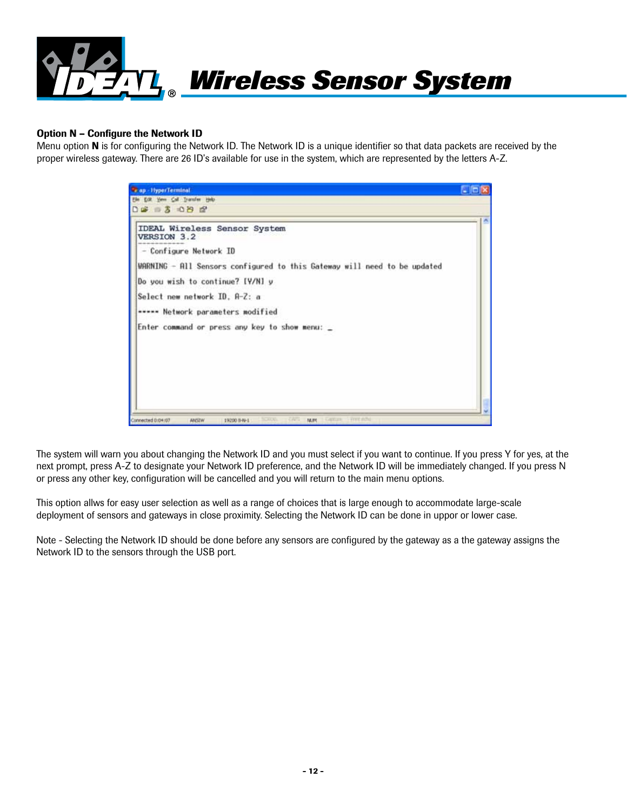

#### Option N – Configure the Network ID

Menu option N is for configuring the Network ID. The Network ID is a unique identifier so that data packets are received by the proper wireless gateway. There are 26 ID's available for use in the system, which are represented by the letters A-Z.



The system will warn you about changing the Network ID and you must select if you want to continue. If you press Y for yes, at the next prompt, press A-Z to designate your Network ID preference, and the Network ID will be immediately changed. If you press N or press any other key, configuration will be cancelled and you will return to the main menu options.

This option allws for easy user selection as well as a range of choices that is large enough to accommodate large-scale deployment of sensors and gateways in close proximity. Selecting the Network ID can be done in uppor or lower case.

Note - Selecting the Network ID should be done before any sensors are configured by the gateway as a the gateway assigns the Network ID to the sensors through the USB port.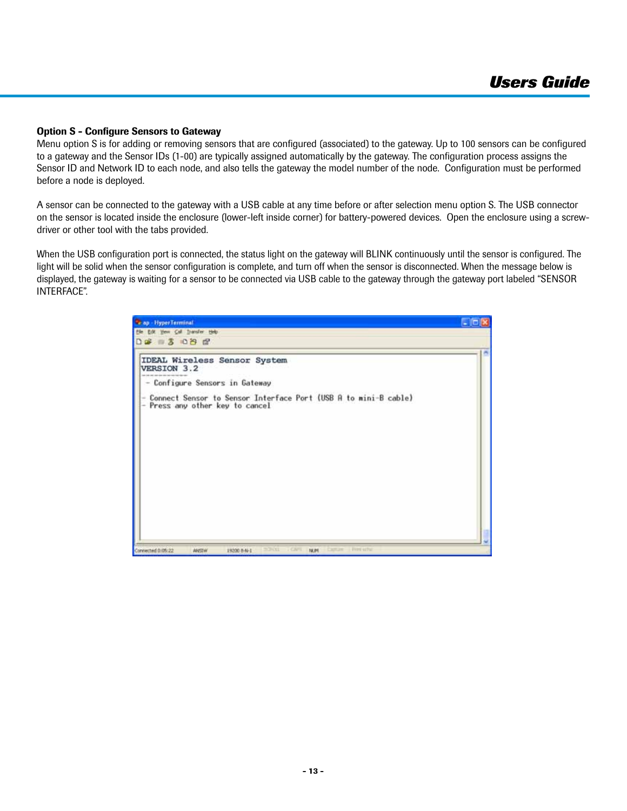#### Option S - Configure Sensors to Gateway

Menu option S is for adding or removing sensors that are configured (associated) to the gateway. Up to 100 sensors can be configured to a gateway and the Sensor IDs (1-00) are typically assigned automatically by the gateway. The configuration process assigns the Sensor ID and Network ID to each node, and also tells the gateway the model number of the node. Configuration must be performed before a node is deployed.

A sensor can be connected to the gateway with a USB cable at any time before or after selection menu option S. The USB connector on the sensor is located inside the enclosure (lower-left inside corner) for battery-powered devices. Open the enclosure using a screwdriver or other tool with the tabs provided.

When the USB configuration port is connected, the status light on the gateway will BLINK continuously until the sensor is configured. The light will be solid when the sensor configuration is complete, and turn off when the sensor is disconnected. When the message below is displayed, the gateway is waiting for a sensor to be connected via USB cable to the gateway through the gateway port labeled "SENSOR INTERFACE".

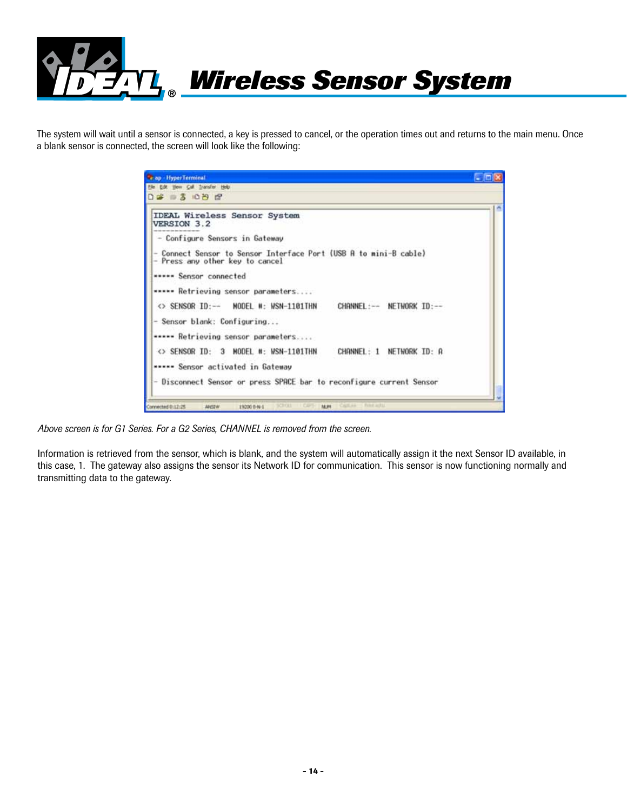

The system will wait until a sensor is connected, a key is pressed to cancel, or the operation times out and returns to the main menu. Once a blank sensor is connected, the screen will look like the following:

| <b>Cap HyperTerminal</b>                                                                                                  | a kali |
|---------------------------------------------------------------------------------------------------------------------------|--------|
| Elle Edit View Call Transfer Help                                                                                         |        |
| $D = 3000C$                                                                                                               |        |
| IDEAL Wireless Sensor System<br>VERSION 3.2                                                                               |        |
| - Configure Sensors in Gateway                                                                                            |        |
| - Connect Sensor to Sensor Interface Port (USB A to mini-B cable)<br>- Press any other key to cancel                      |        |
| ***** Sensor connected                                                                                                    |        |
| ***** Retrieving sensor parameters                                                                                        |        |
| <> SENSOR ID:-- MODEL #: WSN-1101THN<br>CHANNEL:-- NETWORK ID:--                                                          |        |
| - Sensor blank: Configuring                                                                                               |        |
| ***** Retrieving sensor parameters                                                                                        |        |
| <> SENSOR ID: 3 MODEL #: WSN-1101THN<br>CHANNEL: 1 NETWORK ID: A                                                          |        |
| ***** Sensor activated in Gateway                                                                                         |        |
| - Disconnect Sensor or press SPACE bar to reconfigure current Sensor                                                      |        |
|                                                                                                                           |        |
| FIRE AUTO<br><b>SCREET</b><br><b>LL CAPS</b><br><b>CARAK</b><br>Connected 0:12:25<br>14.91<br><b>ANSTW</b><br>19200 8-N-E |        |

*Above screen is for G1 Series. For a G2 Series, CHANNEL is removed from the screen.*

Information is retrieved from the sensor, which is blank, and the system will automatically assign it the next Sensor ID available, in this case, 1. The gateway also assigns the sensor its Network ID for communication. This sensor is now functioning normally and transmitting data to the gateway.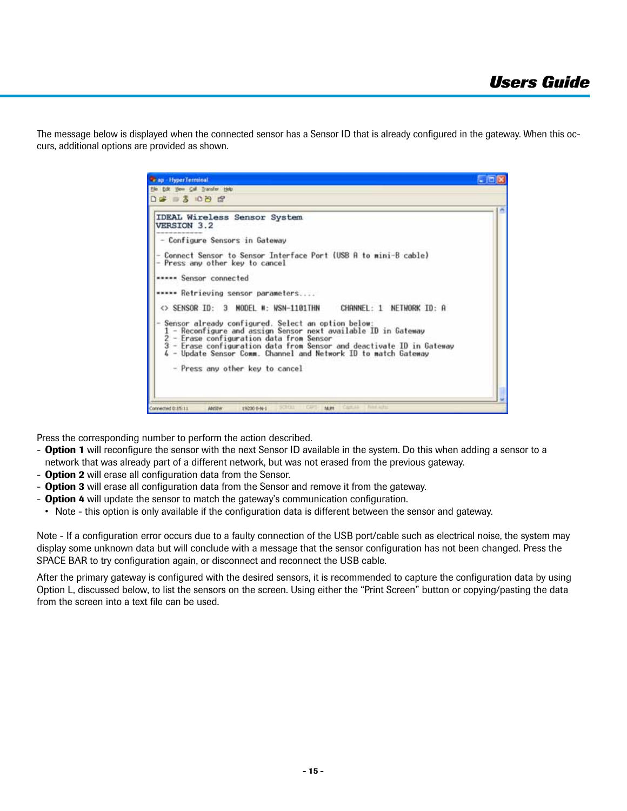The message below is displayed when the connected sensor has a Sensor ID that is already configured in the gateway. When this occurs, additional options are provided as shown.



Press the corresponding number to perform the action described.

- **Option 1** will reconfigure the sensor with the next Sensor ID available in the system. Do this when adding a sensor to a network that was already part of a different network, but was not erased from the previous gateway.
- **Option 2** will erase all configuration data from the Sensor.
- **Option 3** will erase all configuration data from the Sensor and remove it from the gateway.
- **Option 4** will update the sensor to match the gateway's communication configuration.
- Note this option is only available if the configuration data is different between the sensor and gateway.

Note - If a configuration error occurs due to a faulty connection of the USB port/cable such as electrical noise, the system may display some unknown data but will conclude with a message that the sensor configuration has not been changed. Press the SPACE BAR to try configuration again, or disconnect and reconnect the USB cable.

After the primary gateway is configured with the desired sensors, it is recommended to capture the configuration data by using Option L, discussed below, to list the sensors on the screen. Using either the "Print Screen" button or copying/pasting the data from the screen into a text file can be used.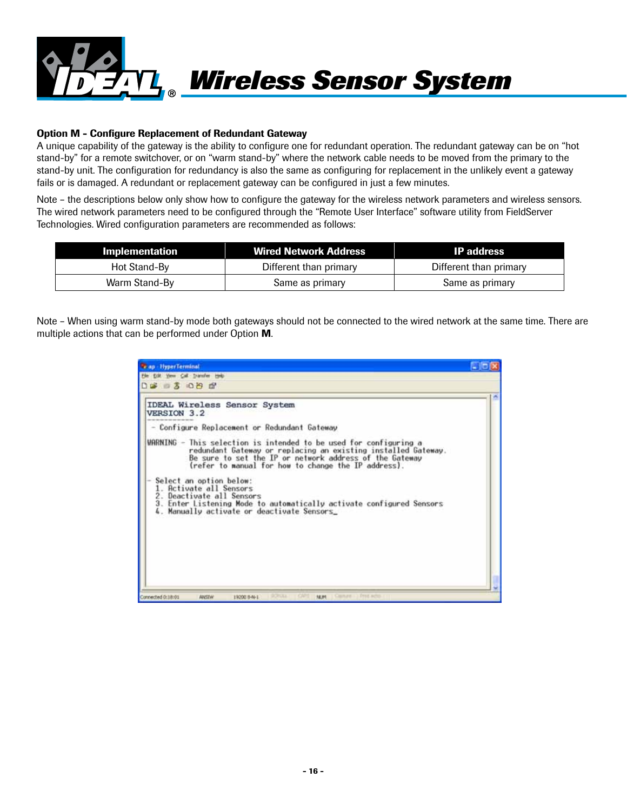

#### Option M - Configure Replacement of Redundant Gateway

A unique capability of the gateway is the ability to configure one for redundant operation. The redundant gateway can be on "hot stand-by" for a remote switchover, or on "warm stand-by" where the network cable needs to be moved from the primary to the stand-by unit. The configuration for redundancy is also the same as configuring for replacement in the unlikely event a gateway fails or is damaged. A redundant or replacement gateway can be configured in just a few minutes.

Note – the descriptions below only show how to configure the gateway for the wireless network parameters and wireless sensors. The wired network parameters need to be configured through the "Remote User Interface" software utility from FieldServer Technologies. Wired configuration parameters are recommended as follows:

| Implementation | <b>Wired Network Address</b> | <b>IP</b> address      |
|----------------|------------------------------|------------------------|
| Hot Stand-By   | Different than primary       | Different than primary |
| Warm Stand-By  | Same as primary              | Same as primary        |

Note – When using warm stand-by mode both gateways should not be connected to the wired network at the same time. There are multiple actions that can be performed under Option M.

| <b><i>Cap HyperTerminal</i></b>                                                                                                                                                                                                                      | - 101 |
|------------------------------------------------------------------------------------------------------------------------------------------------------------------------------------------------------------------------------------------------------|-------|
| File Edit Vess Call Dansfer Hob                                                                                                                                                                                                                      |       |
| .                                                                                                                                                                                                                                                    |       |
| IDEAL Wireless Sensor System<br>VERSION 3.2                                                                                                                                                                                                          |       |
| - Configure Replacement or Redundant Gateway                                                                                                                                                                                                         |       |
| WARNING - This selection is intended to be used for configuring a<br>redundant Gateway or replacing an existing installed Gateway.<br>Be sure to set the IP or network address of the Gateway<br>(refer to manual for how to change the IP address). |       |
| Select an option below:<br>1. Activate all Sensors<br>2. Deactivate all Sensors<br>3. Enter Listening Mode to automatically activate configured Sensors<br>4. Manually activate or deactivate Sensors_                                               |       |
|                                                                                                                                                                                                                                                      |       |
|                                                                                                                                                                                                                                                      |       |
|                                                                                                                                                                                                                                                      |       |
| 1 Carnett 1 Free Acto<br><b>SCRUDA</b><br>Connected 0:18:01<br>14.91<br>ANSTW<br>19200 8-461                                                                                                                                                         |       |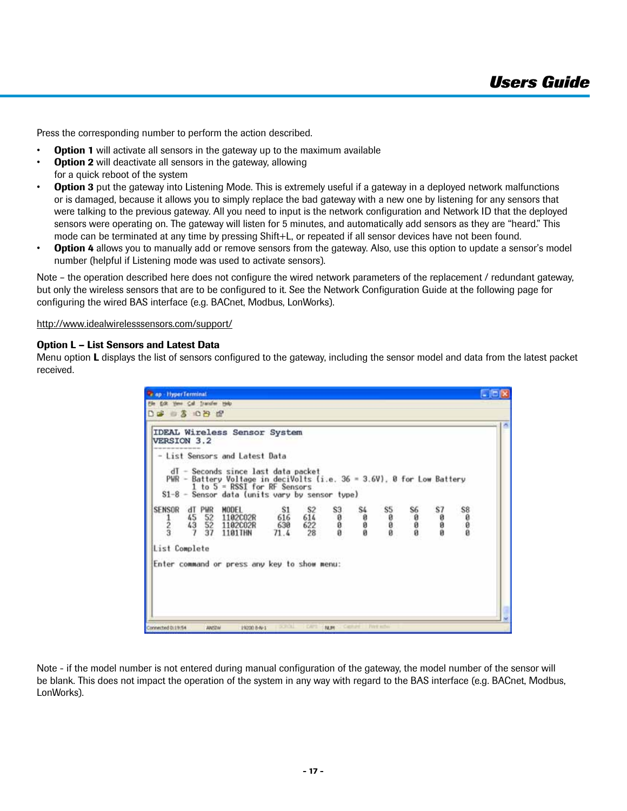Press the corresponding number to perform the action described.

- **Option 1** will activate all sensors in the gateway up to the maximum available
- **Option 2** will deactivate all sensors in the gateway, allowing
- for a quick reboot of the system
- **Option 3** put the gateway into Listening Mode. This is extremely useful if a gateway in a deployed network malfunctions or is damaged, because it allows you to simply replace the bad gateway with a new one by listening for any sensors that were talking to the previous gateway. All you need to input is the network configuration and Network ID that the deployed sensors were operating on. The gateway will listen for 5 minutes, and automatically add sensors as they are "heard." This mode can be terminated at any time by pressing Shift+L, or repeated if all sensor devices have not been found.
- **Option 4** allows you to manually add or remove sensors from the gateway. Also, use this option to update a sensor's model number (helpful if Listening mode was used to activate sensors).

Note – the operation described here does not configure the wired network parameters of the replacement / redundant gateway, but only the wireless sensors that are to be configured to it. See the Network Configuration Guide at the following page for configuring the wired BAS interface (e.g. BACnet, Modbus, LonWorks).

http://www.idealwirelesssensors.com/support/

#### Option L – List Sensors and Latest Data

Menu option L displays the list of sensors configured to the gateway, including the sensor model and data from the latest packet received.

| VERSION 3.2                    |                                              | <b>IDEAL Wireless Sensor System</b>                                                                                                                            |                          |                                    |                      |                                           |                   |          |          |          |  |
|--------------------------------|----------------------------------------------|----------------------------------------------------------------------------------------------------------------------------------------------------------------|--------------------------|------------------------------------|----------------------|-------------------------------------------|-------------------|----------|----------|----------|--|
|                                |                                              | - List Sensors and Latest Data<br>$dT -$ Seconds since last data packet                                                                                        |                          |                                    |                      |                                           |                   |          |          |          |  |
|                                |                                              | PWR - Battery Voltage in deciVolts (i.e. 36 = 3.6V). 8 for Low Battery<br>$1$ to $5$ = RSSI for RF Sensors<br>$S1-8$ - Sensor data (units vary by sensor type) |                          |                                    |                      |                                           |                   |          |          |          |  |
| <b>SENSOR</b><br>$\frac{1}{2}$ | PWR<br>dT<br>52<br>45<br>43<br>52<br>37<br>7 | MODEL.<br>1102C02R<br>1102C02R<br>1101THN                                                                                                                      | S1<br>616<br>630<br>71.4 | S <sub>2</sub><br>614<br>622<br>28 | S <sub>3</sub><br>88 | S4<br>$\bf{a}$<br>$\bar{\mathbf{0}}$<br>ğ | S5<br>ø<br>ĕ<br>ø | S6<br>88 | S7<br>88 | S8<br>88 |  |
| List Complete                  |                                              |                                                                                                                                                                |                          |                                    |                      |                                           |                   |          |          |          |  |
|                                |                                              | Enter command or press any key to show menu:                                                                                                                   |                          |                                    |                      |                                           |                   |          |          |          |  |
|                                |                                              |                                                                                                                                                                |                          |                                    |                      |                                           |                   |          |          |          |  |
|                                |                                              |                                                                                                                                                                |                          |                                    |                      |                                           |                   |          |          |          |  |

Note - if the model number is not entered during manual configuration of the gateway, the model number of the sensor will be blank. This does not impact the operation of the system in any way with regard to the BAS interface (e.g. BACnet, Modbus, LonWorks).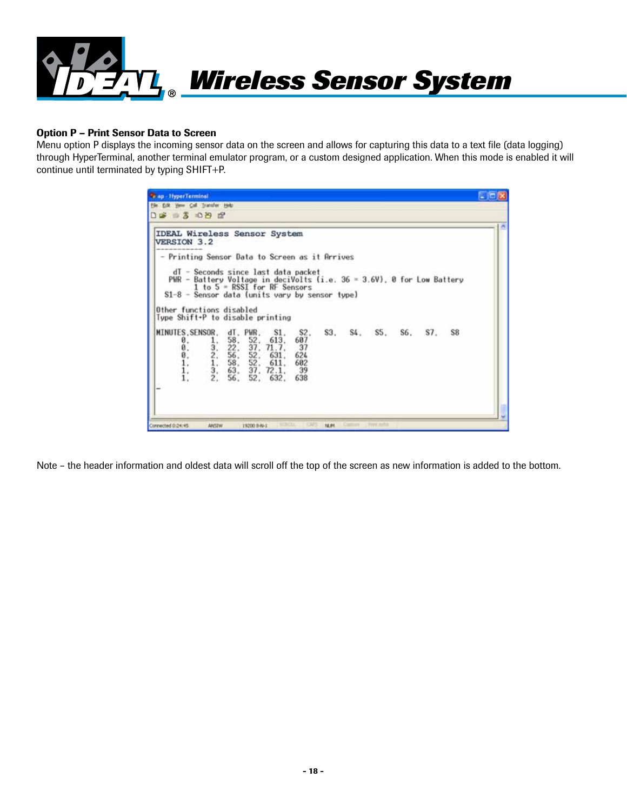

#### Option P – Print Sensor Data to Screen

Menu option P displays the incoming sensor data on the screen and allows for capturing this data to a text file (data logging) through HyperTerminal, another terminal emulator program, or a custom designed application. When this mode is enabled it will continue until terminated by typing SHIFT+P.

| <b>IDEAL Wireless Sensor System</b><br>VERSION 3.2                                                                         |                                        |                                                                            |                                                                                        |                                               |     |         |     |     |    |  |
|----------------------------------------------------------------------------------------------------------------------------|----------------------------------------|----------------------------------------------------------------------------|----------------------------------------------------------------------------------------|-----------------------------------------------|-----|---------|-----|-----|----|--|
| - Printing Sensor Data to Screen as it Arrives                                                                             | dT - Seconds since last data packet    |                                                                            |                                                                                        |                                               |     |         |     |     |    |  |
| PWR - Battery Voltage in deciVolts (i.e. 36 = 3.6V), 0 for Low Battery<br>$S1-8$ - Sensor data (units vary by sensor type) | 1 to $5 = RSSI$ for RF Sensors         |                                                                            |                                                                                        |                                               |     |         |     |     |    |  |
| Other functions disabled<br>Type Shift+P to disable printing                                                               |                                        |                                                                            |                                                                                        |                                               |     |         |     |     |    |  |
| MINUTES, SENSOR,<br>ø.<br>0.<br>0.<br>1.<br>1.                                                                             | $\frac{1}{2}$ .<br>$\frac{1}{3}$<br>2. | dT, PWR,<br>$\frac{58}{22}$<br>$\frac{22}{56}$<br>52.<br>58.<br>63.<br>56. | S1.<br>$\frac{52}{37}$ , $\frac{613}{71}$<br>52, 631,<br>611.<br>37, 72.1,<br>52, 632, | S2.<br>687<br>-37<br>624<br>602<br>-39<br>638 | S3. | S4. S5. | S6. | S7. | S8 |  |

Note – the header information and oldest data will scroll off the top of the screen as new information is added to the bottom.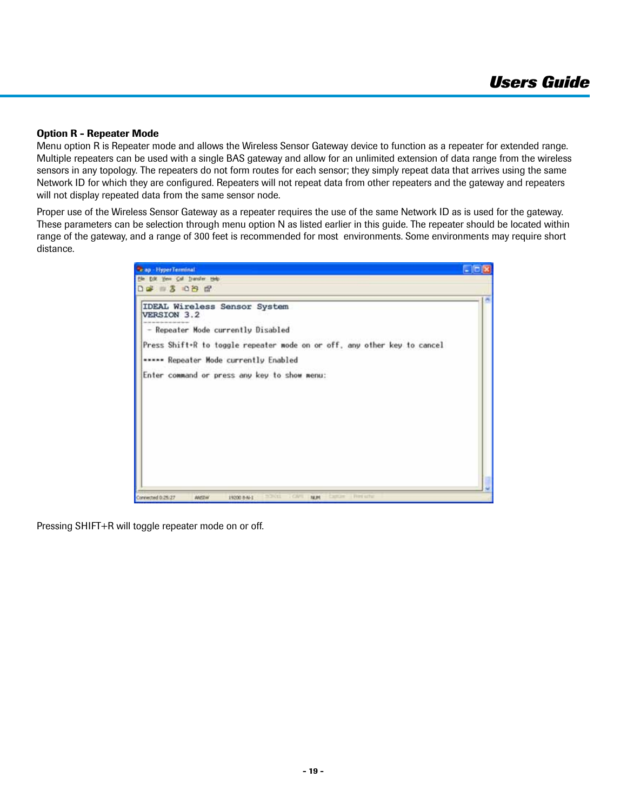#### Option R - Repeater Mode

Menu option R is Repeater mode and allows the Wireless Sensor Gateway device to function as a repeater for extended range. Multiple repeaters can be used with a single BAS gateway and allow for an unlimited extension of data range from the wireless sensors in any topology. The repeaters do not form routes for each sensor; they simply repeat data that arrives using the same Network ID for which they are configured. Repeaters will not repeat data from other repeaters and the gateway and repeaters will not display repeated data from the same sensor node.

Proper use of the Wireless Sensor Gateway as a repeater requires the use of the same Network ID as is used for the gateway. These parameters can be selection through menu option N as listed earlier in this guide. The repeater should be located within range of the gateway, and a range of 300 feet is recommended for most environments. Some environments may require short distance.

| <b>Te ap - HyperTerminal</b>                                                                                            | $-$ [o] $\times$ |
|-------------------------------------------------------------------------------------------------------------------------|------------------|
| the tot year Cal Transfer telp                                                                                          |                  |
| $D = 3086$                                                                                                              |                  |
| IDEAL Wireless Sensor System<br>VERSION 3.2<br>an one can then the control and can be                                   |                  |
| - Repeater Mode currently Disabled                                                                                      |                  |
| Press Shift+R to toggle repeater mode on or off, any other key to cancel                                                |                  |
| ***** Repeater Mode currently Enabled                                                                                   |                  |
| Enter command or press any key to show menu:                                                                            |                  |
|                                                                                                                         |                  |
|                                                                                                                         |                  |
|                                                                                                                         |                  |
|                                                                                                                         |                  |
|                                                                                                                         |                  |
|                                                                                                                         |                  |
|                                                                                                                         |                  |
|                                                                                                                         |                  |
|                                                                                                                         |                  |
| <b>IIVEE</b><br><b>CIVE</b><br>Castler in<br>- First scho<br>Connected 0:25:27<br>19200 8-N-1<br>19,011<br><b>ANSTW</b> |                  |

Pressing SHIFT+R will toggle repeater mode on or off.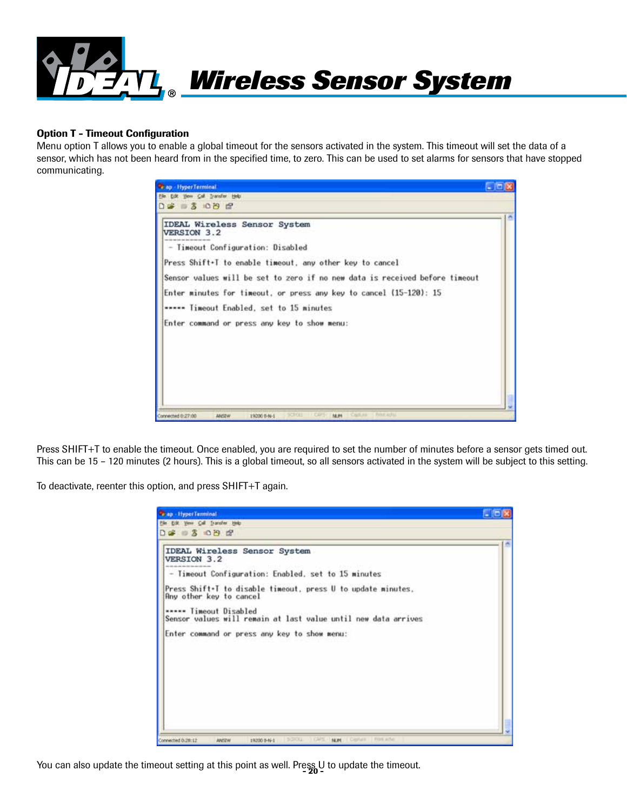

#### Option T - Timeout Configuration

Menu option T allows you to enable a global timeout for the sensors activated in the system. This timeout will set the data of a sensor, which has not been heard from in the specified time, to zero. This can be used to set alarms for sensors that have stopped communicating.

| <b>Trap - HyperTerminal</b>                                                                | $-100$ |
|--------------------------------------------------------------------------------------------|--------|
| the Edit Year Call Transfer Help                                                           |        |
| $D = 3086$                                                                                 |        |
| IDEAL Wireless Sensor System<br>VERSION 3.2                                                |        |
| - Timeout Configuration: Disabled                                                          |        |
| Press Shift+T to enable timeout, any other key to cancel                                   |        |
| Sensor values will be set to zero if no new data is received before timeout                |        |
| Enter minutes for timeout, or press any key to cancel (15-120): 15                         |        |
| ***** Timeout Enabled, set to 15 minutes                                                   |        |
| Enter command or press any key to show menu:                                               |        |
|                                                                                            |        |
|                                                                                            |        |
|                                                                                            |        |
|                                                                                            |        |
|                                                                                            |        |
| SCROLL III CAPS<br>Cast 44 Fire arts<br>14.91<br>Connected 0:27:00<br>19200 8-N-L<br>ANSTW |        |

Press SHIFT+T to enable the timeout. Once enabled, you are required to set the number of minutes before a sensor gets timed out. This can be 15 – 120 minutes (2 hours). This is a global timeout, so all sensors activated in the system will be subject to this setting.

To deactivate, reenter this option, and press SHIFT+T again.

| <b>Cap</b> - HyperTerminal                                                                                            |  |
|-----------------------------------------------------------------------------------------------------------------------|--|
| the tott year Call Transfer Help                                                                                      |  |
| $D = 3086$                                                                                                            |  |
| <b>IDEAL Wireless Sensor System</b><br>VERSION 3.2                                                                    |  |
| - Timeout Configuration: Enabled, set to 15 minutes                                                                   |  |
| Press Shift+T to disable timeout, press U to update minutes,<br>Any other key to cancel                               |  |
| ***** Timeout Disabled<br>Sensor values will remain at last value until new data arrives                              |  |
| Enter command or press any key to show menu:                                                                          |  |
|                                                                                                                       |  |
|                                                                                                                       |  |
|                                                                                                                       |  |
|                                                                                                                       |  |
|                                                                                                                       |  |
|                                                                                                                       |  |
| FILER ALTN<br><b>DOROTA</b><br>Connected 0.29:12<br><b>DAYS</b><br>NOM.<br>1 Capha II<br>19200 8-46-1<br><b>ANSZW</b> |  |

You can also update the timeout setting at this point as well. Press U to update the timeout.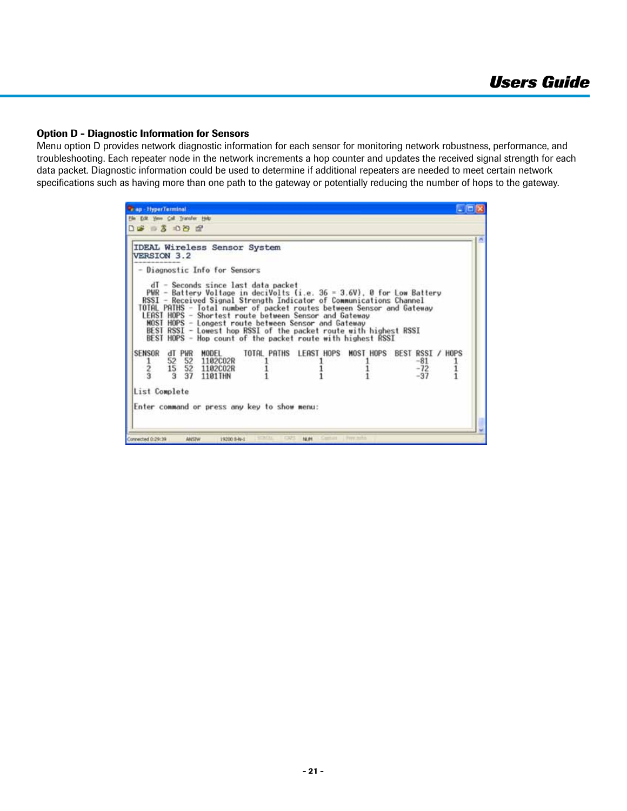#### Option D - Diagnostic Information for Sensors

Menu option D provides network diagnostic information for each sensor for monitoring network robustness, performance, and troubleshooting. Each repeater node in the network increments a hop counter and updates the received signal strength for each data packet. Diagnostic information could be used to determine if additional repeaters are needed to meet certain network specifications such as having more than one path to the gateway or potentially reducing the number of hops to the gateway.

| File Edit Yew Call Transfer Help<br>$D = 3$ 00 $P$<br>IDEAL Wireless Sensor System<br>VERSION 3.2<br>- Diagnostic Info for Sensors<br>dI - Seconds since last data packet<br>PWR - Battery Voltage in deciVolts (i.e. 36 = 3.6V), 0 for Low Battery<br>RSSI - Received Signal Strength Indicator of Communications Channel<br>TOTAL PATHS - Total number of packet routes between Sensor and Gateway<br>LEAST HOPS - Shortest route between Sensor and Gateway<br>MOST HOPS - Longest route between Sensor and Gateway<br>BEST RSSI - Lowest hop RSSI of the packet route with highest RSSI<br>BEST HOPS - Hop count of the packet route with highest RSSI<br>SENSOR<br>dT PWR<br>MODEL<br>TOTAL PATHS LEAST HOPS MOST HOPS BEST RSSI / HOPS<br>52<br>52 1102C02R<br>$-81$<br>52 1102C02R<br>15<br>$-72$<br>$-37$<br>37<br>1101THN |               |  |  |  |
|------------------------------------------------------------------------------------------------------------------------------------------------------------------------------------------------------------------------------------------------------------------------------------------------------------------------------------------------------------------------------------------------------------------------------------------------------------------------------------------------------------------------------------------------------------------------------------------------------------------------------------------------------------------------------------------------------------------------------------------------------------------------------------------------------------------------------------|---------------|--|--|--|
|                                                                                                                                                                                                                                                                                                                                                                                                                                                                                                                                                                                                                                                                                                                                                                                                                                    |               |  |  |  |
|                                                                                                                                                                                                                                                                                                                                                                                                                                                                                                                                                                                                                                                                                                                                                                                                                                    |               |  |  |  |
|                                                                                                                                                                                                                                                                                                                                                                                                                                                                                                                                                                                                                                                                                                                                                                                                                                    |               |  |  |  |
|                                                                                                                                                                                                                                                                                                                                                                                                                                                                                                                                                                                                                                                                                                                                                                                                                                    |               |  |  |  |
|                                                                                                                                                                                                                                                                                                                                                                                                                                                                                                                                                                                                                                                                                                                                                                                                                                    |               |  |  |  |
|                                                                                                                                                                                                                                                                                                                                                                                                                                                                                                                                                                                                                                                                                                                                                                                                                                    |               |  |  |  |
|                                                                                                                                                                                                                                                                                                                                                                                                                                                                                                                                                                                                                                                                                                                                                                                                                                    |               |  |  |  |
|                                                                                                                                                                                                                                                                                                                                                                                                                                                                                                                                                                                                                                                                                                                                                                                                                                    |               |  |  |  |
| Enter command or press any key to show menu:                                                                                                                                                                                                                                                                                                                                                                                                                                                                                                                                                                                                                                                                                                                                                                                       | List Complete |  |  |  |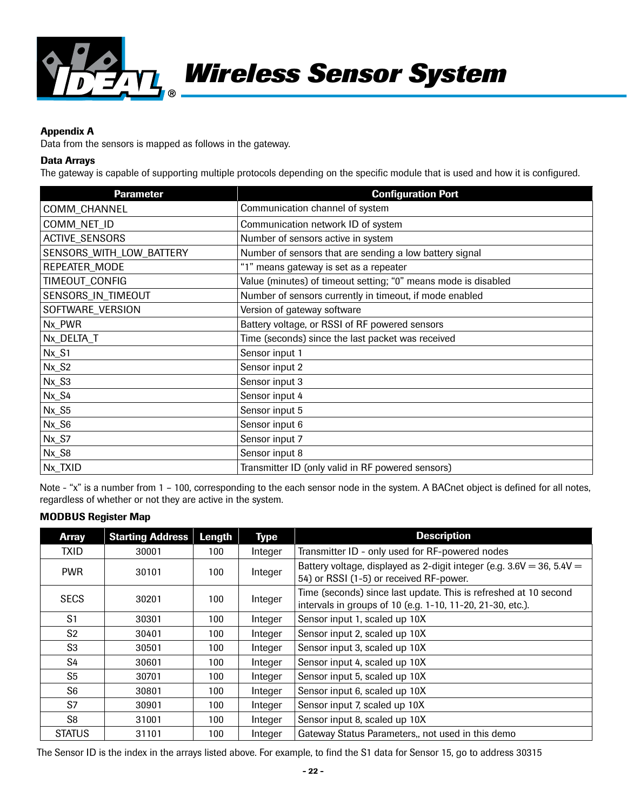

#### Appendix A

Data from the sensors is mapped as follows in the gateway.

#### Data Arrays

The gateway is capable of supporting multiple protocols depending on the specific module that is used and how it is configured.

| <b>Parameter</b>         | <b>Configuration Port</b>                                      |
|--------------------------|----------------------------------------------------------------|
| COMM_CHANNEL             | Communication channel of system                                |
| COMM_NET_ID              | Communication network ID of system                             |
| <b>ACTIVE SENSORS</b>    | Number of sensors active in system                             |
| SENSORS_WITH_LOW_BATTERY | Number of sensors that are sending a low battery signal        |
| REPEATER_MODE            | "1" means gateway is set as a repeater                         |
| TIMEOUT_CONFIG           | Value (minutes) of timeout setting; "0" means mode is disabled |
| SENSORS_IN_TIMEOUT       | Number of sensors currently in timeout, if mode enabled        |
| SOFTWARE_VERSION         | Version of gateway software                                    |
| Nx_PWR                   | Battery voltage, or RSSI of RF powered sensors                 |
| Nx_DELTA_T               | Time (seconds) since the last packet was received              |
| $Nx_S1$                  | Sensor input 1                                                 |
| $Nx_S2$                  | Sensor input 2                                                 |
| $Nx_S3$                  | Sensor input 3                                                 |
| $Nx_S4$                  | Sensor input 4                                                 |
| $Nx_S5$                  | Sensor input 5                                                 |
| $Nx_S6$                  | Sensor input 6                                                 |
| Nx_S7                    | Sensor input 7                                                 |
| Nx_S8                    | Sensor input 8                                                 |
| Nx_TXID                  | Transmitter ID (only valid in RF powered sensors)              |

Note - "x" is a number from 1 – 100, corresponding to the each sensor node in the system. A BACnet object is defined for all notes, regardless of whether or not they are active in the system.

#### MODBUS Register Map

| <b>Array</b>   | <b>Starting Address</b> | Length | <b>Type</b> | <b>Description</b>                                                                                                             |
|----------------|-------------------------|--------|-------------|--------------------------------------------------------------------------------------------------------------------------------|
| <b>TXID</b>    | 30001                   | 100    | Integer     | Transmitter ID - only used for RF-powered nodes                                                                                |
| <b>PWR</b>     | 30101                   | 100    | Integer     | Battery voltage, displayed as 2-digit integer (e.g. $3.6V = 36$ , $5.4V =$<br>54) or RSSI (1-5) or received RF-power.          |
| <b>SECS</b>    | 30201                   | 100    | Integer     | Time (seconds) since last update. This is refreshed at 10 second<br>intervals in groups of 10 (e.g. 1-10, 11-20, 21-30, etc.). |
| S <sub>1</sub> | 30301                   | 100    | Integer     | Sensor input 1, scaled up 10X                                                                                                  |
| S <sub>2</sub> | 30401                   | 100    | Integer     | Sensor input 2, scaled up 10X                                                                                                  |
| S <sub>3</sub> | 30501                   | 100    | Integer     | Sensor input 3, scaled up 10X                                                                                                  |
| S4             | 30601                   | 100    | Integer     | Sensor input 4, scaled up 10X                                                                                                  |
| S <sub>5</sub> | 30701                   | 100    | Integer     | Sensor input 5, scaled up 10X                                                                                                  |
| S <sub>6</sub> | 30801                   | 100    | Integer     | Sensor input 6, scaled up 10X                                                                                                  |
| S7             | 30901                   | 100    | Integer     | Sensor input 7, scaled up 10X                                                                                                  |
| S <sub>8</sub> | 31001                   | 100    | Integer     | Sensor input 8, scaled up 10X                                                                                                  |
| <b>STATUS</b>  | 31101                   | 100    | Integer     | Gateway Status Parameters,, not used in this demo                                                                              |

The Sensor ID is the index in the arrays listed above. For example, to find the S1 data for Sensor 15, go to address 30315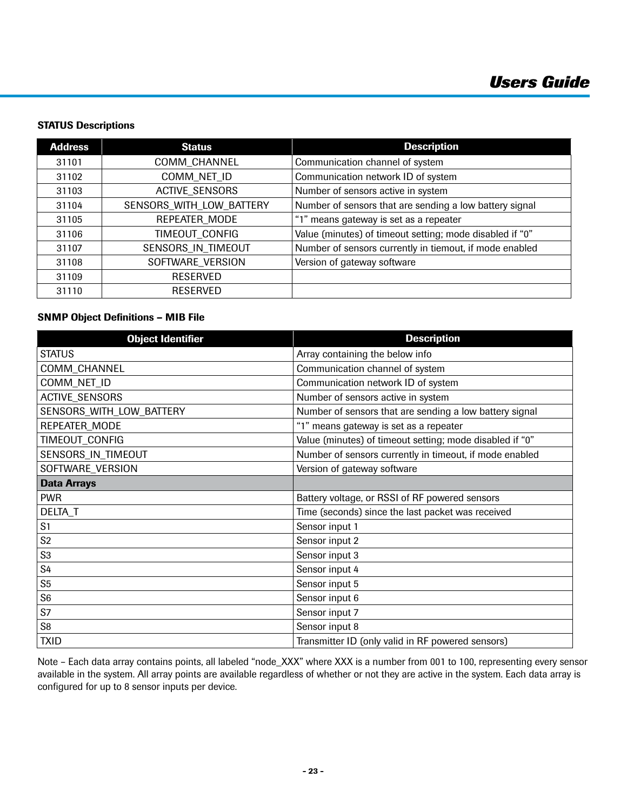### STATUS Descriptions

| <b>Address</b> | <b>Status</b>            | <b>Description</b>                                       |
|----------------|--------------------------|----------------------------------------------------------|
| 31101          | COMM_CHANNEL             | Communication channel of system                          |
| 31102          | COMM NET ID              | Communication network ID of system                       |
| 31103          | <b>ACTIVE SENSORS</b>    | Number of sensors active in system                       |
| 31104          | SENSORS_WITH_LOW_BATTERY | Number of sensors that are sending a low battery signal  |
| 31105          | REPEATER MODE            | "1" means gateway is set as a repeater                   |
| 31106          | TIMEOUT CONFIG           | Value (minutes) of timeout setting; mode disabled if "0" |
| 31107          | SENSORS IN TIMEOUT       | Number of sensors currently in tiemout, if mode enabled  |
| 31108          | SOFTWARE VERSION         | Version of gateway software                              |
| 31109          | <b>RESERVED</b>          |                                                          |
| 31110          | <b>RESERVED</b>          |                                                          |

## SNMP Object Definitions – MIB File

| <b>Object Identifier</b> | <b>Description</b>                                       |
|--------------------------|----------------------------------------------------------|
| <b>STATUS</b>            | Array containing the below info                          |
| COMM_CHANNEL             | Communication channel of system                          |
| COMM_NET_ID              | Communication network ID of system                       |
| <b>ACTIVE_SENSORS</b>    | Number of sensors active in system                       |
| SENSORS_WITH_LOW_BATTERY | Number of sensors that are sending a low battery signal  |
| REPEATER_MODE            | "1" means gateway is set as a repeater                   |
| TIMEOUT_CONFIG           | Value (minutes) of timeout setting; mode disabled if "0" |
| SENSORS_IN_TIMEOUT       | Number of sensors currently in timeout, if mode enabled  |
| SOFTWARE_VERSION         | Version of gateway software                              |
| <b>Data Arrays</b>       |                                                          |
| <b>PWR</b>               | Battery voltage, or RSSI of RF powered sensors           |
| DELTA_T                  | Time (seconds) since the last packet was received        |
| S <sub>1</sub>           | Sensor input 1                                           |
| S <sub>2</sub>           | Sensor input 2                                           |
| ${\sf S3}$               | Sensor input 3                                           |
| S4                       | Sensor input 4                                           |
| S <sub>5</sub>           | Sensor input 5                                           |
| S <sub>6</sub>           | Sensor input 6                                           |
| S7                       | Sensor input 7                                           |
| S8                       | Sensor input 8                                           |
| <b>TXID</b>              | Transmitter ID (only valid in RF powered sensors)        |

Note – Each data array contains points, all labeled "node\_XXX" where XXX is a number from 001 to 100, representing every sensor available in the system. All array points are available regardless of whether or not they are active in the system. Each data array is configured for up to 8 sensor inputs per device.